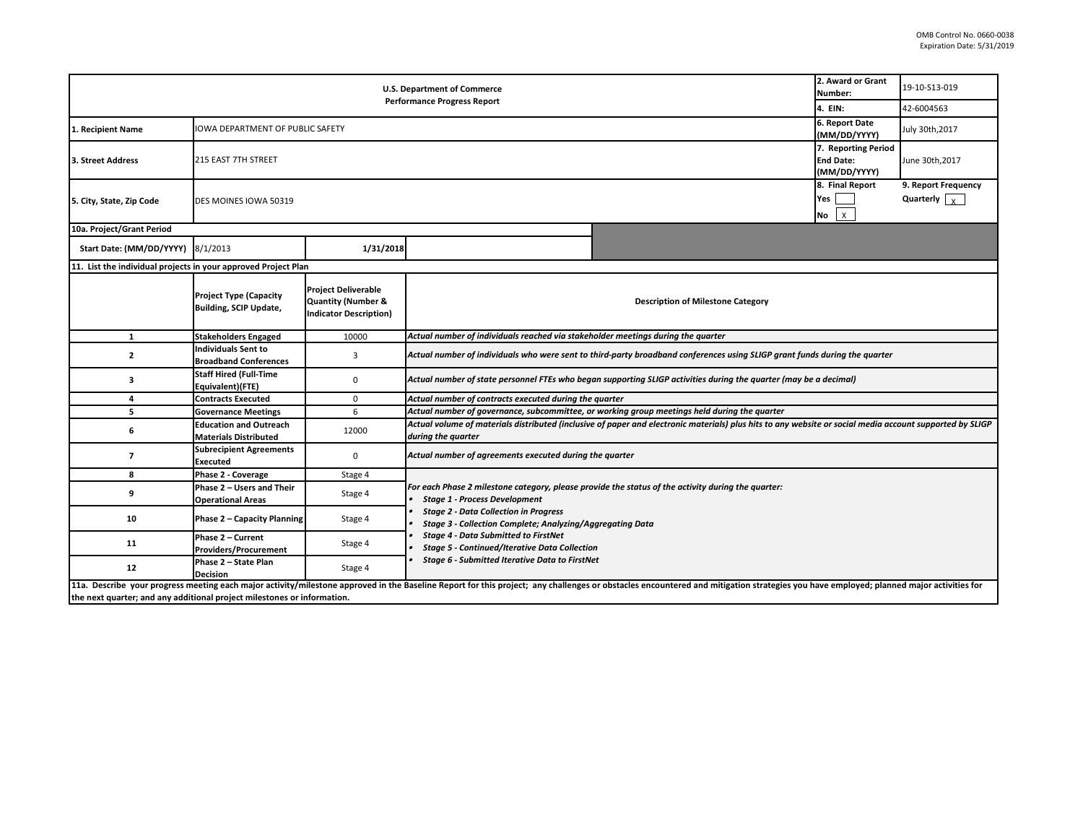|                                                                         | 2. Award or Grant<br>Number:                                   | 19-10-S13-019                                                                                |                                                                                                                                                                                                                                                                                                                                                                                                                         |                                                                                                                                                                                                                                |  |                                             |  |  |
|-------------------------------------------------------------------------|----------------------------------------------------------------|----------------------------------------------------------------------------------------------|-------------------------------------------------------------------------------------------------------------------------------------------------------------------------------------------------------------------------------------------------------------------------------------------------------------------------------------------------------------------------------------------------------------------------|--------------------------------------------------------------------------------------------------------------------------------------------------------------------------------------------------------------------------------|--|---------------------------------------------|--|--|
|                                                                         | 4. EIN:                                                        | 42-6004563                                                                                   |                                                                                                                                                                                                                                                                                                                                                                                                                         |                                                                                                                                                                                                                                |  |                                             |  |  |
| 1. Recipient Name                                                       | <b>IOWA DEPARTMENT OF PUBLIC SAFETY</b>                        |                                                                                              |                                                                                                                                                                                                                                                                                                                                                                                                                         |                                                                                                                                                                                                                                |  | July 30th, 2017                             |  |  |
| 3. Street Address                                                       | 215 EAST 7TH STREET                                            |                                                                                              |                                                                                                                                                                                                                                                                                                                                                                                                                         |                                                                                                                                                                                                                                |  | June 30th, 2017                             |  |  |
| 5. City, State, Zip Code                                                | DES MOINES IOWA 50319                                          |                                                                                              |                                                                                                                                                                                                                                                                                                                                                                                                                         |                                                                                                                                                                                                                                |  | 9. Report Frequency<br>Quarterly $\sqrt{x}$ |  |  |
| 10a. Project/Grant Period                                               |                                                                |                                                                                              |                                                                                                                                                                                                                                                                                                                                                                                                                         |                                                                                                                                                                                                                                |  |                                             |  |  |
| Start Date: (MM/DD/YYYY) 8/1/2013                                       |                                                                | 1/31/2018                                                                                    |                                                                                                                                                                                                                                                                                                                                                                                                                         |                                                                                                                                                                                                                                |  |                                             |  |  |
| 11. List the individual projects in your approved Project Plan          |                                                                |                                                                                              |                                                                                                                                                                                                                                                                                                                                                                                                                         |                                                                                                                                                                                                                                |  |                                             |  |  |
|                                                                         | <b>Project Type (Capacity</b><br><b>Building, SCIP Update,</b> | <b>Project Deliverable</b><br><b>Quantity (Number &amp;</b><br><b>Indicator Description)</b> | <b>Description of Milestone Category</b>                                                                                                                                                                                                                                                                                                                                                                                |                                                                                                                                                                                                                                |  |                                             |  |  |
| $\mathbf{1}$                                                            | <b>Stakeholders Engaged</b>                                    | 10000                                                                                        | Actual number of individuals reached via stakeholder meetings during the quarter                                                                                                                                                                                                                                                                                                                                        |                                                                                                                                                                                                                                |  |                                             |  |  |
| $\overline{2}$                                                          | <b>Individuals Sent to</b><br><b>Broadband Conferences</b>     | 3                                                                                            | Actual number of individuals who were sent to third-party broadband conferences using SLIGP grant funds during the quarter                                                                                                                                                                                                                                                                                              |                                                                                                                                                                                                                                |  |                                             |  |  |
| 3                                                                       | <b>Staff Hired (Full-Time</b><br>Equivalent)(FTE)              | 0                                                                                            | Actual number of state personnel FTEs who began supporting SLIGP activities during the quarter (may be a decimal)                                                                                                                                                                                                                                                                                                       |                                                                                                                                                                                                                                |  |                                             |  |  |
| 4                                                                       | <b>Contracts Executed</b>                                      | 0                                                                                            | Actual number of contracts executed during the quarter                                                                                                                                                                                                                                                                                                                                                                  |                                                                                                                                                                                                                                |  |                                             |  |  |
| 5                                                                       | <b>Governance Meetings</b>                                     | 6                                                                                            | Actual number of governance, subcommittee, or working group meetings held during the quarter                                                                                                                                                                                                                                                                                                                            |                                                                                                                                                                                                                                |  |                                             |  |  |
| 6                                                                       | <b>Education and Outreach</b><br><b>Materials Distributed</b>  | 12000                                                                                        | Actual volume of materials distributed (inclusive of paper and electronic materials) plus hits to any website or social media account supported by SLIGP<br>during the quarter                                                                                                                                                                                                                                          |                                                                                                                                                                                                                                |  |                                             |  |  |
| $\overline{7}$                                                          | <b>Subrecipient Agreements</b><br>Executed                     | 0                                                                                            | Actual number of agreements executed during the quarter                                                                                                                                                                                                                                                                                                                                                                 |                                                                                                                                                                                                                                |  |                                             |  |  |
| 8                                                                       | Phase 2 - Coverage                                             | Stage 4                                                                                      |                                                                                                                                                                                                                                                                                                                                                                                                                         |                                                                                                                                                                                                                                |  |                                             |  |  |
| 9                                                                       | Phase 2 - Users and Their<br><b>Operational Areas</b>          | Stage 4                                                                                      | For each Phase 2 milestone category, please provide the status of the activity during the quarter:<br><b>Stage 1 - Process Development</b><br><b>Stage 2 - Data Collection in Progress</b><br><b>Stage 3 - Collection Complete; Analyzing/Aggregating Data</b><br><b>Stage 4 - Data Submitted to FirstNet</b><br><b>Stage 5 - Continued/Iterative Data Collection</b><br>Stage 6 - Submitted Iterative Data to FirstNet |                                                                                                                                                                                                                                |  |                                             |  |  |
| 10                                                                      | Phase 2 - Capacity Planning                                    | Stage 4                                                                                      |                                                                                                                                                                                                                                                                                                                                                                                                                         |                                                                                                                                                                                                                                |  |                                             |  |  |
| 11                                                                      | Phase 2 - Current<br><b>Providers/Procurement</b>              | Stage 4                                                                                      |                                                                                                                                                                                                                                                                                                                                                                                                                         |                                                                                                                                                                                                                                |  |                                             |  |  |
| 12                                                                      | Phase 2 - State Plan<br><b>Decision</b>                        | Stage 4                                                                                      |                                                                                                                                                                                                                                                                                                                                                                                                                         |                                                                                                                                                                                                                                |  |                                             |  |  |
| the next quarter; and any additional project milestones or information. |                                                                |                                                                                              |                                                                                                                                                                                                                                                                                                                                                                                                                         | 11a. Describe your progress meeting each major activity/milestone approved in the Baseline Report for this project; any challenges or obstacles encountered and mitigation strategies you have employed; planned major activit |  |                                             |  |  |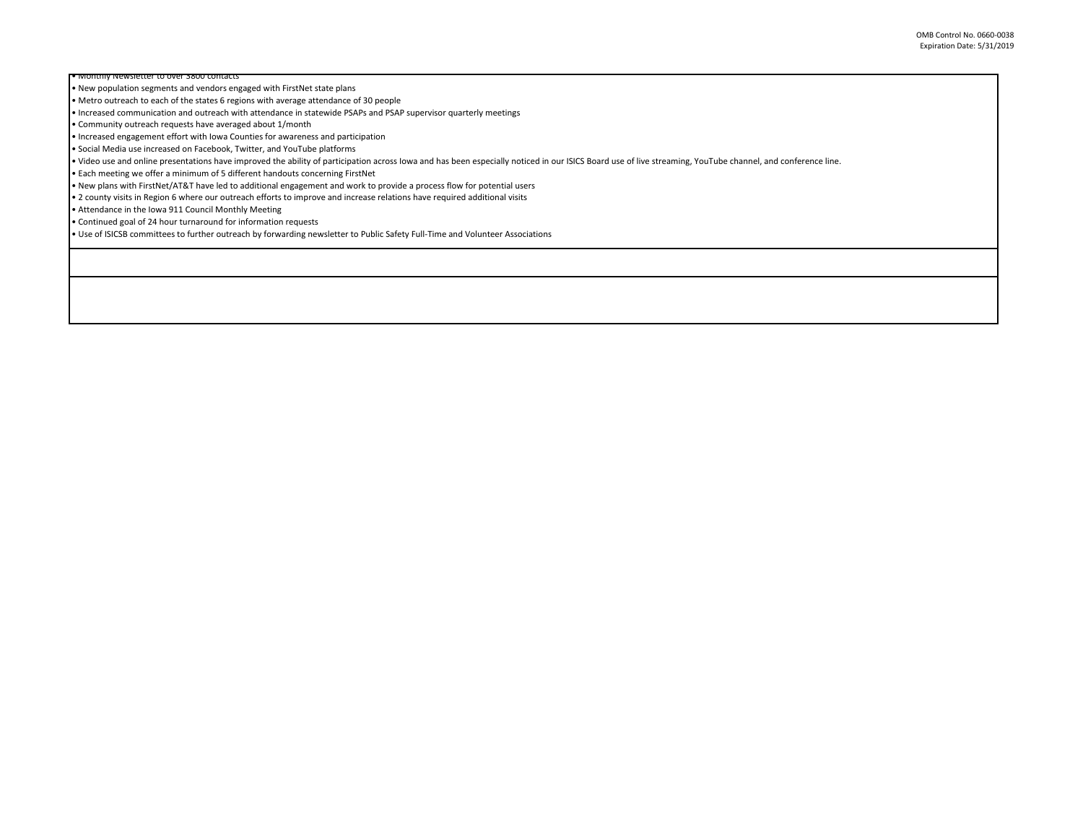OMB Control No. 0660-0038 Expiration Date: 5/31/2019

wsietter to over 3800 contact • New population segments and vendors engaged with FirstNet state plans

• Metro outreach to each of the states 6 regions with average attendance of 30 people

• Increased communication and outreach with attendance in statewide PSAPs and PSAP supervisor quarterly meetings

• Community outreach requests have averaged about 1/month

• Increased engagement effort with Iowa Counties for awareness and participation

• Social Media use increased on Facebook, Twitter, and YouTube platforms

• Video use and online presentations have improved the ability of participation across Iowa and has been especially noticed in our ISICS Board use of live streaming, YouTube channel, and conference line.

• Each meeting we offer a minimum of 5 different handouts concerning FirstNet

• New plans with FirstNet/AT&T have led to additional engagement and work to provide a process flow for potential users

• 2 county visits in Region 6 where our outreach efforts to improve and increase relations have required additional visits

• Attendance in the Iowa 911 Council Monthly Meeting

• Continued goal of 24 hour turnaround for information requests

• Use of ISICSB committees to further outreach by forwarding newsletter to Public Safety Full-Time and Volunteer Associations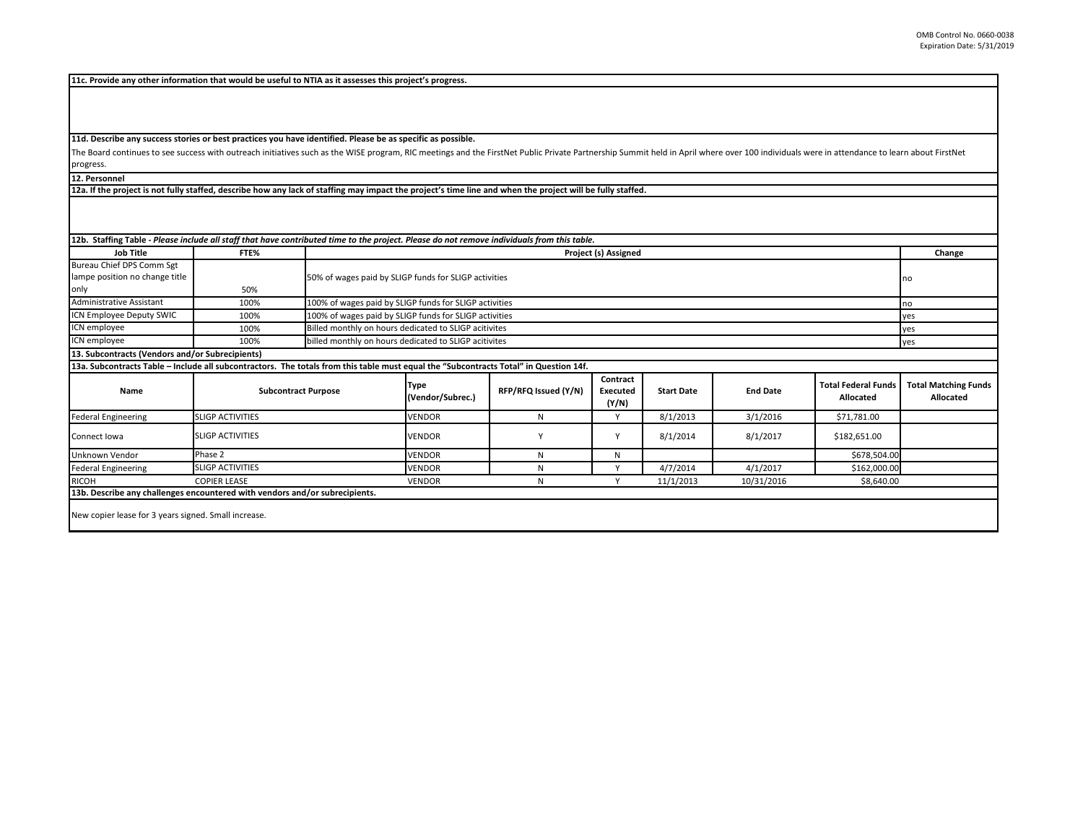**11c. Provide any other information that would be useful to NTIA as it assesses this project's progress.** 

**11d. Describe any success stories or best practices you have identified. Please be as specific as possible.**

The Board continues to see success with outreach initiatives such as the WISE program, RIC meetings and the FirstNet Public Private Partnership Summit held in April where over 100 individuals were in attendance to learn ab progress.

**12. Personnel** 

**12a. If the project is not fully staffed, describe how any lack of staffing may impact the project's time line and when the project will be fully staffed.**

| <b>Job Title</b>                                                                                                                      | FTE%                       | 12b. Staffing Table - Please include all staff that have contributed time to the project. Please do not remove individuals from this table.<br>Project (s) Assigned |                                                              |                      |                               |                   |                 |                                         | Change                                   |  |
|---------------------------------------------------------------------------------------------------------------------------------------|----------------------------|---------------------------------------------------------------------------------------------------------------------------------------------------------------------|--------------------------------------------------------------|----------------------|-------------------------------|-------------------|-----------------|-----------------------------------------|------------------------------------------|--|
| Bureau Chief DPS Comm Sgt                                                                                                             |                            |                                                                                                                                                                     |                                                              |                      |                               |                   |                 |                                         |                                          |  |
| lampe position no change title                                                                                                        |                            |                                                                                                                                                                     | 50% of wages paid by SLIGP funds for SLIGP activities        |                      |                               |                   |                 |                                         |                                          |  |
| only                                                                                                                                  | 50%                        |                                                                                                                                                                     |                                                              |                      |                               |                   |                 |                                         |                                          |  |
| <b>Administrative Assistant</b>                                                                                                       | 100%                       |                                                                                                                                                                     | 100% of wages paid by SLIGP funds for SLIGP activities<br>no |                      |                               |                   |                 |                                         |                                          |  |
| ICN Employee Deputy SWIC                                                                                                              | 100%                       | 100% of wages paid by SLIGP funds for SLIGP activities                                                                                                              |                                                              |                      |                               |                   |                 |                                         | yes                                      |  |
| ICN employee                                                                                                                          | 100%                       |                                                                                                                                                                     | Billed monthly on hours dedicated to SLIGP acitivites        |                      |                               |                   |                 |                                         | yes                                      |  |
| ICN employee                                                                                                                          | 100%                       | billed monthly on hours dedicated to SLIGP acitivites                                                                                                               |                                                              |                      |                               |                   |                 |                                         | yes                                      |  |
| 13. Subcontracts (Vendors and/or Subrecipients)                                                                                       |                            |                                                                                                                                                                     |                                                              |                      |                               |                   |                 |                                         |                                          |  |
| 13a. Subcontracts Table - Include all subcontractors. The totals from this table must equal the "Subcontracts Total" in Question 14f. |                            |                                                                                                                                                                     |                                                              |                      |                               |                   |                 |                                         |                                          |  |
| Name                                                                                                                                  | <b>Subcontract Purpose</b> |                                                                                                                                                                     | <b>Type</b><br>(Vendor/Subrec.)                              | RFP/RFQ Issued (Y/N) | Contract<br>Executed<br>(Y/N) | <b>Start Date</b> | <b>End Date</b> | <b>Total Federal Funds</b><br>Allocated | <b>Total Matching Funds</b><br>Allocated |  |
| <b>Federal Engineering</b>                                                                                                            | <b>SLIGP ACTIVITIES</b>    |                                                                                                                                                                     | <b>VENDOR</b>                                                | N                    | $\mathsf{v}$                  | 8/1/2013          | 3/1/2016        | \$71,781.00                             |                                          |  |
| Connect Iowa                                                                                                                          | <b>SLIGP ACTIVITIES</b>    |                                                                                                                                                                     | <b>VENDOR</b>                                                |                      | Y                             | 8/1/2014          | 8/1/2017        | \$182,651.00                            |                                          |  |
| Unknown Vendor                                                                                                                        | Phase 2                    |                                                                                                                                                                     | <b>VENDOR</b>                                                | N                    | N                             |                   |                 | \$678,504.00                            |                                          |  |
| <b>Federal Engineering</b>                                                                                                            | <b>SLIGP ACTIVITIES</b>    |                                                                                                                                                                     | <b>VENDOR</b>                                                | N                    | $\checkmark$                  | 4/7/2014          | 4/1/2017        | \$162,000.00                            |                                          |  |
| <b>RICOH</b>                                                                                                                          | <b>COPIER LEASE</b>        |                                                                                                                                                                     | <b>VENDOR</b>                                                | N                    |                               | 11/1/2013         | 10/31/2016      | \$8,640.00                              |                                          |  |
| 13b. Describe any challenges encountered with vendors and/or subrecipients.                                                           |                            |                                                                                                                                                                     |                                                              |                      |                               |                   |                 |                                         |                                          |  |
| New copier lease for 3 years signed. Small increase.                                                                                  |                            |                                                                                                                                                                     |                                                              |                      |                               |                   |                 |                                         |                                          |  |